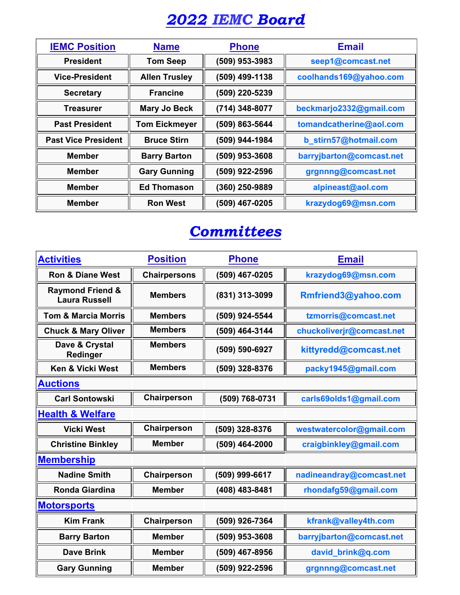## *2022 IEMC Board*

| <b>IEMC Position</b>       | <b>Name</b>          | <b>Phone</b>   | <b>Email</b>             |
|----------------------------|----------------------|----------------|--------------------------|
| <b>President</b>           | <b>Tom Seep</b>      | (509) 953-3983 | seep1@comcast.net        |
| <b>Vice-President</b>      | <b>Allen Trusley</b> | (509) 499-1138 | coolhands169@yahoo.com   |
| <b>Secretary</b>           | <b>Francine</b>      | (509) 220-5239 |                          |
| Treasurer                  | <b>Mary Jo Beck</b>  | (714) 348-8077 | beckmarjo2332@gmail.com  |
| <b>Past President</b>      | <b>Tom Eickmeyer</b> | (509) 863-5644 | tomandcatherine@aol.com  |
| <b>Past Vice President</b> | <b>Bruce Stirn</b>   | (509) 944-1984 | b_stirn57@hotmail.com    |
| <b>Member</b>              | <b>Barry Barton</b>  | (509) 953-3608 | barryjbarton@comcast.net |
| <b>Member</b>              | <b>Gary Gunning</b>  | (509) 922-2596 | grgnnng@comcast.net      |
| <b>Member</b>              | <b>Ed Thomason</b>   | (360) 250-9889 | alpineast@aol.com        |
| <b>Member</b>              | <b>Ron West</b>      | (509) 467-0205 | krazydog69@msn.com       |

## *Committees*

| <b>Activities</b>                                   | <b>Position</b>     | <b>Phone</b>   | <b>Email</b>              |  |  |
|-----------------------------------------------------|---------------------|----------------|---------------------------|--|--|
| <b>Ron &amp; Diane West</b>                         | <b>Chairpersons</b> | (509) 467-0205 | krazydog69@msn.com        |  |  |
| <b>Raymond Friend &amp;</b><br><b>Laura Russell</b> | <b>Members</b>      | (831) 313-3099 | Rmfriend3@yahoo.com       |  |  |
| <b>Tom &amp; Marcia Morris</b>                      | <b>Members</b>      | (509) 924-5544 | tzmorris@comcast.net      |  |  |
| <b>Chuck &amp; Mary Oliver</b>                      | <b>Members</b>      | (509) 464-3144 | chuckoliverjr@comcast.net |  |  |
| Dave & Crystal<br>Redinger                          | <b>Members</b>      | (509) 590-6927 | kittyredd@comcast.net     |  |  |
| Ken & Vicki West                                    | <b>Members</b>      | (509) 328-8376 | packy1945@gmail.com       |  |  |
| <b>Auctions</b>                                     |                     |                |                           |  |  |
| <b>Carl Sontowski</b>                               | Chairperson         | (509) 768-0731 | carls69olds1@gmail.com    |  |  |
| <b>Health &amp; Welfare</b>                         |                     |                |                           |  |  |
| <b>Vicki West</b>                                   | Chairperson         | (509) 328-8376 | westwatercolor@gmail.com  |  |  |
| <b>Christine Binkley</b>                            | <b>Member</b>       | (509) 464-2000 | craigbinkley@gmail.com    |  |  |
| <b>Membership</b>                                   |                     |                |                           |  |  |
| <b>Nadine Smith</b>                                 | Chairperson         | (509) 999-6617 | nadineandray@comcast.net  |  |  |
| <b>Ronda Giardina</b>                               | <b>Member</b>       | (408) 483-8481 | rhondafg59@gmail.com      |  |  |
| <b>Motorsports</b>                                  |                     |                |                           |  |  |
| <b>Kim Frank</b>                                    | Chairperson         | (509) 926-7364 | kfrank@valley4th.com      |  |  |
| <b>Barry Barton</b>                                 | <b>Member</b>       | (509) 953-3608 | barryjbarton@comcast.net  |  |  |
| <b>Dave Brink</b>                                   | <b>Member</b>       | (509) 467-8956 | david brink@q.com         |  |  |
| <b>Gary Gunning</b>                                 | <b>Member</b>       | (509) 922-2596 | grgnnng@comcast.net       |  |  |